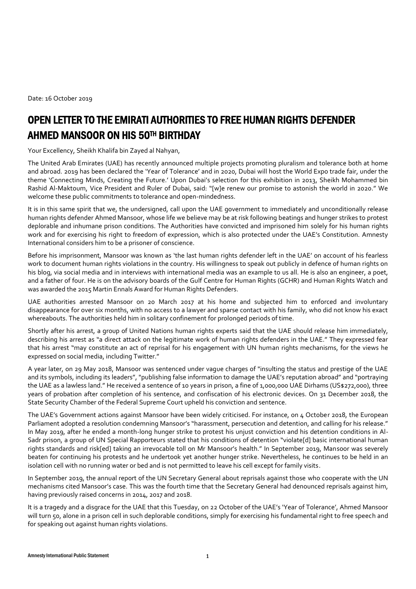Date: 16 October 2019

## OPEN LETTER TO THE EMIRATI AUTHORITIES TO FREE HUMAN RIGHTS DEFENDER AHMED MANSOOR ON HIS 50TH BIRTHDAY

Your Excellency, Sheikh Khalifa bin Zayed al Nahyan,

The United Arab Emirates (UAE) has recently announced multiple projects promoting pluralism and tolerance both at home and abroad. 2019 has been declared th[e](https://www.government.ae/en/about-the-uae/culture/tolerance/tolerance-initiatives) ['Year of Tolerance'](https://www.government.ae/en/about-the-uae/culture/tolerance/tolerance-initiatives) and in 2020, Dubai will host the World Expo trade fair, under the theme 'Connecting Minds, Creating the Future.' Upon [Dubai's selection for this exhibition in 2013](https://www.thenational.ae/uae/dubai-expo-2020-all-you-need-to-know-1.617933), Sheikh Mohammed bin Rashid Al-Maktoum, Vice President and Ruler of Dubai, said: "[w]e renew our promise to astonish the world in 2020." We welcome these public commitments to tolerance and open-mindedness.

It is in this same spirit that we, the undersigned, call upon the UAE government to immediately and unconditionally release human rights defender Ahmed Mansoor, whose life we believe may be at risk following beatings and hunger strikes to protest deplorable and inhumane prison conditions. The Authorities have convicted and imprisoned him solely for his human rights work and for exercising his right to freedom of expression, which is also protected under the UAE's Constitution. Amnesty International considers him to be a prisoner of conscience.

Before his imprisonment, Mansoor was known as 'the last human rights defender left in the UAE' on account of his fearless work to document human rights violations in the country. His willingness to speak out publicly in defence of human rights on his blog, via social media and in interviews with international media was an example to us all. He is also an engineer, a poet, and a father of four. He is on the advisory boards of the Gulf Centre for Human Rights (GCHR) and Human Rights Watch and was awarded the 2015 Martin Ennals Award for Human Rights Defenders.

UAE authorities arrested Mansoor on 20 March 2017 at his home and subjected him to enforced and involuntary disappearance for over six months, with no access to a lawyer and sparse contact with his family, who did not know his exact whereabouts. The authorities held him in solitary confinement for prolonged periods of time.

Shortly after his arrest[,](https://www.ohchr.org/EN/NewsEvents/Pages/DisplayNews.aspx?NewsID=21449&LangID=E&_sm_au_=iVV5L7PTt6N6VHk6) [a group of United Nations human rights experts](https://www.ohchr.org/EN/NewsEvents/Pages/DisplayNews.aspx?NewsID=21449&LangID=E&_sm_au_=iVV5L7PTt6N6VHk6) said that the UAE should release him immediately, describing his arrest as "a direct attack on the legitimate work of human rights defenders in the UAE." They expressed fear that his arrest "may constitute an act of reprisal for his engagement with UN human rights mechanisms, for the views he expressed on social media, including Twitter."

A year later, on 29 May 2018, Mansoor was sentenced under vague charges of "insulting the status and prestige of the UAE and its symbols, including its leaders", "publishing false information to damage the UAE's reputation abroad" and "portraying the UAE as a lawless land." He received a sentence of 10 years in prison, a fine of 1,000,000 UAE Dirhams (US\$272,000), three years of probation after completion of his sentence, and confiscation of his electronic devices. On 31 December 2018, the State Security Chamber of the Federal Supreme Court upheld his conviction and sentence.

The UAE's Government actions against Mansoor have been widely criticised. For instance, on 4 October 2018, the European Parliament adopted [a](http://www.europarl.europa.eu/doceo/document/TA-8-2018-0376_EN.pdf?redirect) [resolution](http://www.europarl.europa.eu/doceo/document/TA-8-2018-0376_EN.pdf?redirect) condemning Mansoor's "harassment, persecution and detention, and calling for his release." In May 2019, after he ended a month-long hunger strike to protest his unjust conviction and his detention conditions in Al-Sadr prison[,](https://www.ohchr.org/EN/NewsEvents/Pages/DisplayNews.aspx?NewsID=24571&LangID=E&fbclid=IwAR22NPUe4lVgNOAz3QvR3CsMuFAyy1zzfPOH9PshHRVt9PK4czLrWzCwBDc) [a group of UN Special Rapporteurs](https://www.ohchr.org/EN/NewsEvents/Pages/DisplayNews.aspx?NewsID=24571&LangID=E&fbclid=IwAR22NPUe4lVgNOAz3QvR3CsMuFAyy1zzfPOH9PshHRVt9PK4czLrWzCwBDc) stated that his conditions of detention "violate[d] basic international human rights standards and risk[ed] taking an irrevocable toll on Mr Mansoor's health." In September 2019, Mansoor [was severely](https://www.gc4hr.org/news/view/2215)  [beaten](https://www.gc4hr.org/news/view/2215) for continuing his protests and he undertook yet another hunger strike. Nevertheless, he continues to be held in an isolation cell [with no running water or bed and is not permitted to leave his cell except for family visits.](https://www.gc4hr.org/news/view/2133)

In September 2019, the annual report of the UN Secretary General about reprisals against those who cooperate with the UN mechanisms cited Mansoor's case. This was the fourth time that the Secretary General had denounced reprisals against him, having previously raised concerns in 2014, 2017 and 2018.

It is a tragedy and a disgrace for the UAE that this Tuesday, on 22 October of the UAE's 'Year of Tolerance', Ahmed Mansoor will turn 50, alone in a prison cell in such deplorable conditions, simply for exercising his fundamental right to free speech and for speaking out against human rights violations.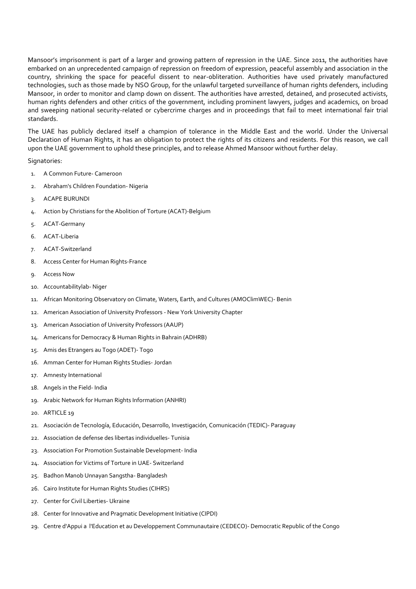Mansoor's imprisonment is part of a larger and growing pattern of repression in the UAE. Since 2011, the authorities have embarked on an unprecedented campaign of repression on freedom of expression, peaceful assembly and association in the country, shrinking the space for peaceful dissent to near-obliteration. Authorities have used privately manufactured technologies, such as those made by NSO Group, [for the unlawful targeted surveillance of human rights defenders, including](https://citizenlab.ca/2016/08/million-dollar-dissident-iphone-zero-day-nso-group-uae/)  [Mansoor,](https://citizenlab.ca/2016/08/million-dollar-dissident-iphone-zero-day-nso-group-uae/) in order to monitor and clamp down on dissent. The authorities have arrested, detained, and prosecuted activists, human rights defenders and other critics of the government, including prominent lawyers, judges and academics, on broad and sweeping national security-related or cybercrime charges and in proceedings that fail to meet international fair trial standards.

The UAE has publicly declared itself a champion of tolerance in the Middle East and the world. Under the Universal Declaration of Human Rights, it has an obligation to protect the rights of its citizens and residents. For this reason, we call upon the UAE government to uphold these principles, and to release Ahmed Mansoor without further delay.

Signatories:

- 1. A Common Future- Cameroon
- 2. Abraham's Children Foundation- Nigeria
- 3. ACAPE BURUNDI
- 4. Action by Christians for the Abolition of Torture (ACAT)-Belgium
- 5. ACAT-Germany
- 6. ACAT-Liberia
- 7. ACAT-Switzerland
- 8. Access Center for Human Rights-France
- 9. Access Now
- 10. Accountabilitylab- Niger
- 11. African Monitoring Observatory on Climate, Waters, Earth, and Cultures (AMOClimWEC)- Benin
- 12. American Association of University Professors New York University Chapter
- 13. American Association of University Professors (AAUP)
- 14. Americans for Democracy & Human Rights in Bahrain (ADHRB)
- 15. Amis des Etrangers au Togo (ADET)- Togo
- 16. Amman Center for Human Rights Studies- Jordan
- 17. Amnesty International
- 18. Angels in the Field- India
- 19. Arabic Network for Human Rights Information (ANHRI)
- 20. ARTICLE 19
- 21. Asociación de Tecnología, Educación, Desarrollo, Investigación, Comunicación (TEDIC)- Paraguay
- 22. Association de defense des libertas individuelles- Tunisia
- 23. Association For Promotion Sustainable Development- India
- 24. Association for Victims of Torture in UAE- Switzerland
- 25. Badhon Manob Unnayan Sangstha- Bangladesh
- 26. Cairo Institute for Human Rights Studies (CIHRS)
- 27. Center for Civil Liberties- Ukraine
- 28. Center for Innovative and Pragmatic Development Initiative (CIPDI)
- 29. Centre d'Appui a l'Education et au Developpement Communautaire (CEDECO)- Democratic Republic of the Congo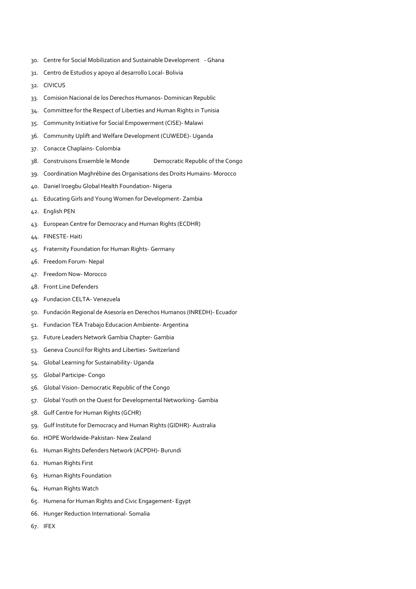- 30. Centre for Social Mobilization and Sustainable Development Ghana
- 31. Centro de Estudios y apoyo al desarrollo Local- Bolivia
- 32. CIVICUS
- 33. Comision Nacional de los Derechos Humanos- Dominican Republic
- 34. Committee for the Respect of Liberties and Human Rights in Tunisia
- 35. Community Initiative for Social Empowerment (CISE)- Malawi
- 36. Community Uplift and Welfare Development (CUWEDE)- Uganda
- 37. Conacce Chaplains- Colombia
- 38. Construisons Ensemble le Monde Democratic Republic of the Congo
- 39. Coordination Maghrébine des Organisations des Droits Humains- Morocco
- 40. Daniel Iroegbu Global Health Foundation- Nigeria
- 41. Educating Girls and Young Women for Development- Zambia
- 42. English PEN
- 43. European Centre for Democracy and Human Rights (ECDHR)
- 44. FINESTE- Haiti
- 45. Fraternity Foundation for Human Rights- Germany
- 46. Freedom Forum- Nepal
- 47. Freedom Now- Morocco
- 48. Front Line Defenders
- 49. Fundacion CELTA- Venezuela
- 50. Fundación Regional de Asesoría en Derechos Humanos (INREDH)- Ecuador
- 51. Fundacion TEA Trabajo Educacion Ambiente- Argentina
- 52. Future Leaders Network Gambia Chapter- Gambia
- 53. Geneva Council for Rights and Liberties- Switzerland
- 54. Global Learning for Sustainability- Uganda
- 55. Global Participe- Congo
- 56. Global Vision- Democratic Republic of the Congo
- 57. Global Youth on the Quest for Developmental Networking- Gambia
- 58. Gulf Centre for Human Rights (GCHR)
- 59. Gulf Institute for Democracy and Human Rights (GIDHR)- Australia
- 60. HOPE Worldwide-Pakistan- New Zealand
- 61. Human Rights Defenders Network (ACPDH)- Burundi
- 62. Human Rights First
- 63. Human Rights Foundation
- 64. Human Rights Watch
- 65. Humena for Human Rights and Civic Engagement- Egypt
- 66. Hunger Reduction International- Somalia
- 67. IFEX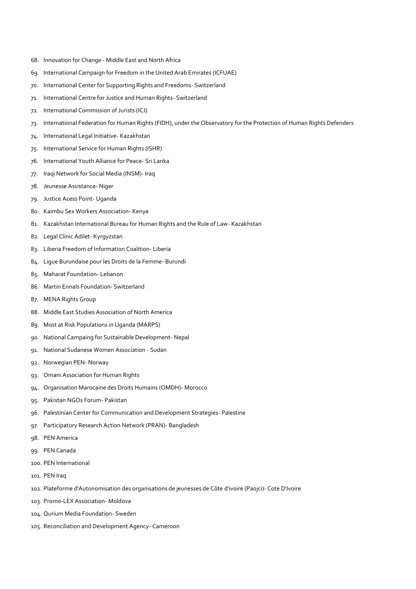- 68. Innovation for Change Middle East and North Africa
- 69. International Campaign for Freedom in the United Arab Emirates (ICFUAE)
- 70. International Center for Supporting Rights and Freedoms- Switzerland
- 71. International Centre for Justice and Human Rights- Switzerland
- 72. International Commission of Jurists (ICJ)
- 73. International Federation for Human Rights (FIDH), under the Observatory for the Protection of Human Rights Defenders
- 74. International Legal Initiative- Kazakhstan
- 75. International Service for Human Rights (ISHR)
- 76. International Youth Alliance for Peace- Sri Lanka
- 77. Iraqi Network for Social Media (INSM)- Iraq
- 78. Jeunesse Assistance- Niger
- 79. Justice Acess Point- Uganda
- 80. Kaimbu Sex Workers Association- Kenya
- 81. Kazakhstan International Bureau for Human Rights and the Rule of Law- Kazakhstan
- 82. Legal Clinic Adilet- Kyrgyzstan
- 83. Liberia Freedom of Information Coalition- Liberia
- 84. Ligue Burundaise pour les Droits de la Femme- Burundi
- 85. Maharat Foundation- Lebanon
- 86. Martin Ennals Foundation- Switzerland
- 87. MENA Rights Group
- 88. Middle East Studies Association of North America
- 89. Most at Risk Populations in Uganda (MARPS)
- 90. National Campaing for Sustainable Development- Nepal
- 91. National Sudanese Women Association Sudan
- 92. Norwegian PEN- Norway
- 93. Omani Association for Human Rights
- 94. Organisation Marocaine des Droits Humains (OMDH)- Morocco
- 95. Pakistan NGOs Forum- Pakistan
- 96. Palestinian Center for Communication and Development Strategies- Palestine
- 97. Participatory Research Action Network (PRAN)- Bangladesh
- 98. PEN America
- 99. PEN Canada
- 100. PEN International
- 101. PEN Iraq
- 102. Plateforme d'Autonomisation des organisations de jeunesses de Côte d'ivoire (Paojci)- Cote D'Ivoire
- 103. Promo-LEX Association- Moldova
- 104. Qurium Media Foundation- Sweden
- 105. Reconciliation and Development Agency- Cameroon